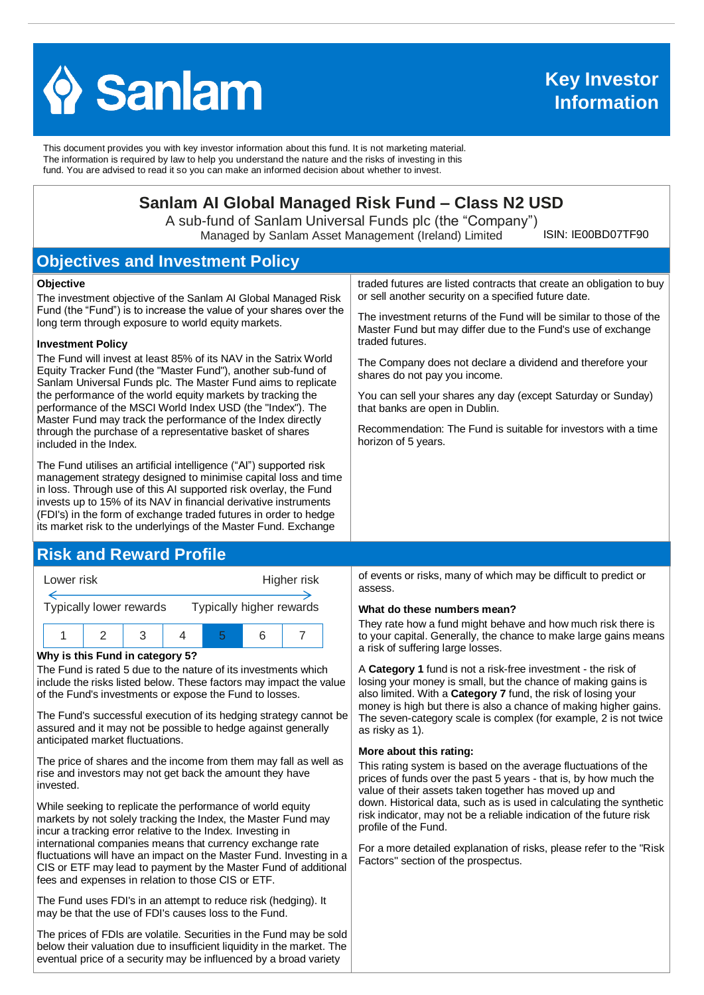

This document provides you with key investor information about this fund. It is not marketing material. The information is required by law to help you understand the nature and the risks of investing in this fund. You are advised to read it so you can make an informed decision about whether to invest.

# **Sanlam AI Global Managed Risk Fund – Class N2 USD**

A sub-fund of Sanlam Universal Funds plc (the "Company") Managed by Sanlam Asset Management (Ireland) Limited

ISIN: IE00BD07TF90

# **Objectives and Investment Policy**

#### **Objective**

The investment objective of the Sanlam AI Global Managed Risk Fund (the "Fund") is to increase the value of your shares over the long term through exposure to world equity markets.

#### **Investment Policy**

The Fund will invest at least 85% of its NAV in the Satrix World Equity Tracker Fund (the "Master Fund"), another sub-fund of Sanlam Universal Funds plc. The Master Fund aims to replicate the performance of the world equity markets by tracking the performance of the MSCI World Index USD (the "Index"). The Master Fund may track the performance of the Index directly through the purchase of a representative basket of shares included in the Index.

The Fund utilises an artificial intelligence ("AI") supported risk management strategy designed to minimise capital loss and time in loss. Through use of this AI supported risk overlay, the Fund invests up to 15% of its NAV in financial derivative instruments (FDI's) in the form of exchange traded futures in order to hedge its market risk to the underlyings of the Master Fund. Exchange

## **Risk and Reward Profile**



#### **Why is this Fund in category 5?**

The Fund is rated 5 due to the nature of its investments which include the risks listed below. These factors may impact the value of the Fund's investments or expose the Fund to losses.

The Fund's successful execution of its hedging strategy cannot be assured and it may not be possible to hedge against generally anticipated market fluctuations.

The price of shares and the income from them may fall as well as rise and investors may not get back the amount they have invested.

While seeking to replicate the performance of world equity markets by not solely tracking the Index, the Master Fund may incur a tracking error relative to the Index. Investing in international companies means that currency exchange rate fluctuations will have an impact on the Master Fund. Investing in a CIS or ETF may lead to payment by the Master Fund of additional fees and expenses in relation to those CIS or ETF.

The Fund uses FDI's in an attempt to reduce risk (hedging). It may be that the use of FDI's causes loss to the Fund.

The prices of FDIs are volatile. Securities in the Fund may be sold below their valuation due to insufficient liquidity in the market. The eventual price of a security may be influenced by a broad variety

traded futures are listed contracts that create an obligation to buy or sell another security on a specified future date.

The investment returns of the Fund will be similar to those of the Master Fund but may differ due to the Fund's use of exchange traded futures.

The Company does not declare a dividend and therefore your shares do not pay you income.

You can sell your shares any day (except Saturday or Sunday) that banks are open in Dublin.

Recommendation: The Fund is suitable for investors with a time horizon of 5 years.

of events or risks, many of which may be difficult to predict or assess.

#### **What do these numbers mean?**

They rate how a fund might behave and how much risk there is to your capital. Generally, the chance to make large gains means a risk of suffering large losses.

A **Category 1** fund is not a risk-free investment - the risk of losing your money is small, but the chance of making gains is also limited. With a **Category 7** fund, the risk of losing your money is high but there is also a chance of making higher gains. The seven-category scale is complex (for example, 2 is not twice as risky as 1).

#### **More about this rating:**

This rating system is based on the average fluctuations of the prices of funds over the past 5 years - that is, by how much the value of their assets taken together has moved up and down. Historical data, such as is used in calculating the synthetic risk indicator, may not be a reliable indication of the future risk profile of the Fund.

For a more detailed explanation of risks, please refer to the ''Risk Factors'' section of the prospectus.